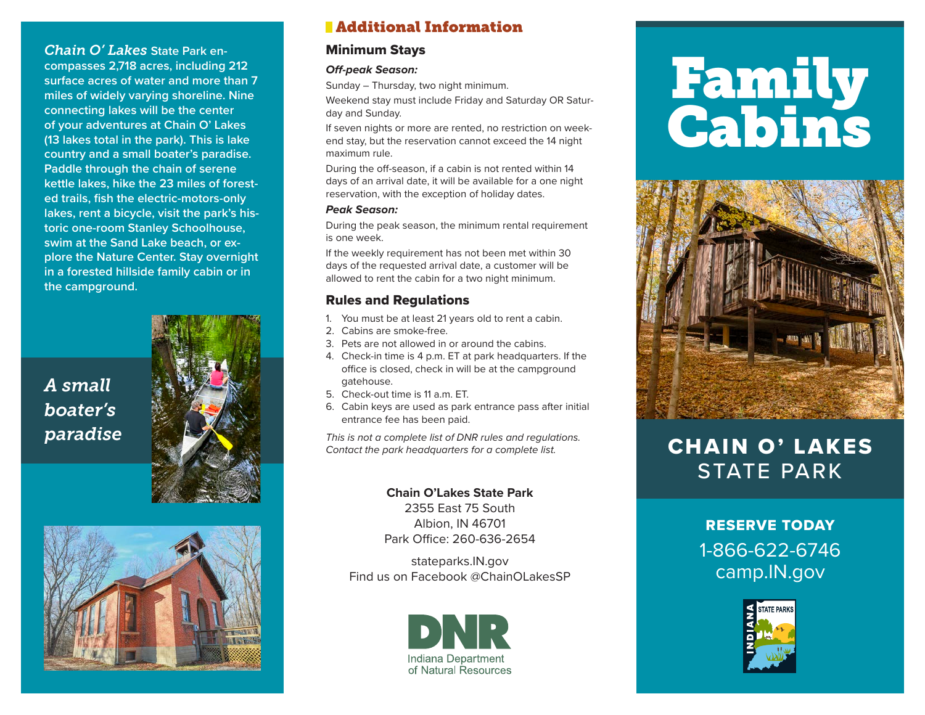### *Chain O' Lakes* **State Park encompasses 2,718 acres, including 212 surface acres of water and more than 7 miles of widely varying shoreline. Nine connecting lakes will be the center of your adventures at Chain O' Lakes (13 lakes total in the park). This is lake country and a small boater's paradise. Paddle through the chain of serene kettle lakes, hike the 23 miles of forested trails, fish the electric-motors-only lakes, rent a bicycle, visit the park's historic one-room Stanley Schoolhouse, swim at the Sand Lake beach, or explore the Nature Center. Stay overnight in a forested hillside family cabin or in the campground.**

*A small boater's*





# Additional Information

### Minimum Stays

### *Off-peak Season:*

Sunday – Thursday, two night minimum.

Weekend stay must include Friday and Saturday OR Saturday and Sunday.

If seven nights or more are rented, no restriction on weekend stay, but the reservation cannot exceed the 14 night maximum rule.

During the off-season, if a cabin is not rented within 14 days of an arrival date, it will be available for a one night reservation, with the exception of holiday dates.

#### *Peak Season:*

During the peak season, the minimum rental requirement is one week.

If the weekly requirement has not been met within 30 days of the requested arrival date, a customer will be allowed to rent the cabin for a two night minimum.

## Rules and Regulations

- 1. You must be at least 21 years old to rent a cabin.
- 2. Cabins are smoke-free.
- 3. Pets are not allowed in or around the cabins.
- 4. Check-in time is 4 p.m. ET at park headquarters. If the office is closed, check in will be at the campground gatehouse.
- 5. Check-out time is 11 a.m. ET.
- 6. Cabin keys are used as park entrance pass after initial entrance fee has been paid.

*This is not a complete list of DNR rules and regulations. Contact the park headquarters for a complete list.* **paradise CHAIN O' LAKES** 

> **Chain O'Lakes State Park** 2355 East 75 South Albion, IN 46701 Park Office: 260-636-2654

stateparks.IN.gov Find us on Facebook @ChainOLakesSP



# Family Cabins



# STATE PARK

# RESERVE TODAY 1-866-622-6746 camp.IN.gov